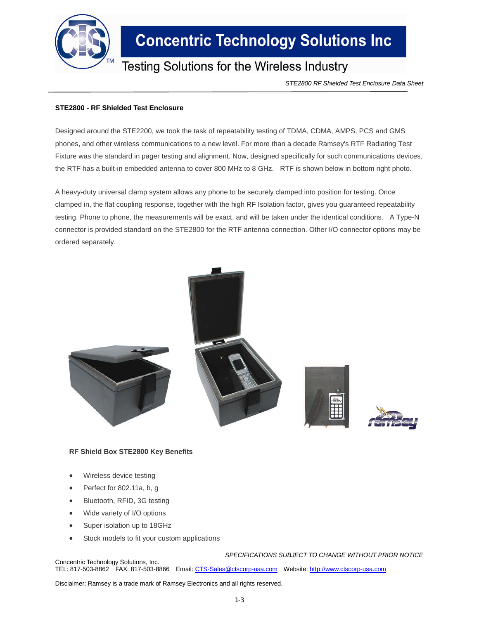

## **Concentric Technology Solutions Inc**

### **Testing Solutions for the Wireless Industry**

*STE2800 RF Shielded Test Enclosure Data Sheet*

#### **STE2800 - RF Shielded Test Enclosure**

Designed around the STE2200, we took the task of repeatability testing of TDMA, CDMA, AMPS, PCS and GMS phones, and other wireless communications to a new level. For more than a decade Ramsey's RTF Radiating Test Fixture was the standard in pager testing and alignment. Now, designed specifically for such communications devices, the RTF has a built-in embedded antenna to cover 800 MHz to 8 GHz. RTF is shown below in bottom right photo.

A heavy-duty universal clamp system allows any phone to be securely clamped into position for testing. Once clamped in, the flat coupling response, together with the high RF Isolation factor, gives you guaranteed repeatability testing. Phone to phone, the measurements will be exact, and will be taken under the identical conditions. A Type-N connector is provided standard on the STE2800 for the RTF antenna connection. Other I/O connector options may be ordered separately.



#### **RF Shield Box STE2800 Key Benefits**

- Wireless device testing
- Perfect for 802.11a, b, g
- Bluetooth, RFID, 3G testing
- Wide variety of I/O options
- Super isolation up to 18GHz
- Stock models to fit your custom applications

*SPECIFICATIONS SUBJECT TO CHANGE WITHOUT PRIOR NOTICE*

Concentric Technology Solutions, Inc. TEL: 817-503-8862 FAX: 817-503-8866 Email: CTS-Sales@ctscorp-usa.com Website: http://www.ctscorp-usa.com

Disclaimer: Ramsey is a trade mark of Ramsey Electronics and all rights reserved.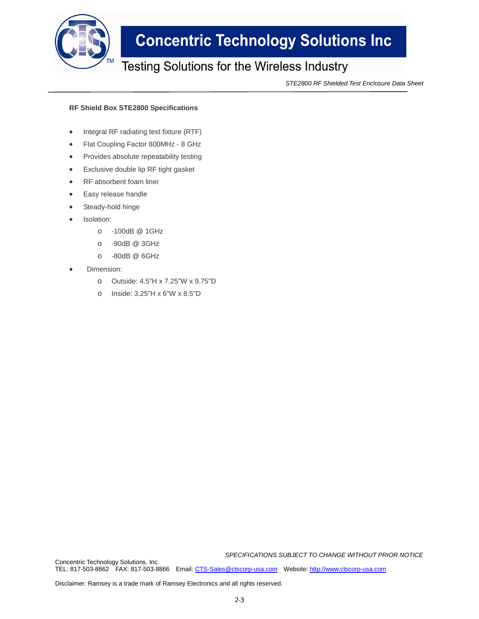

## **Concentric Technology Solutions Inc**

### Testing Solutions for the Wireless Industry

*STE2800 RF Shielded Test Enclosure Data Sheet*

#### **RF Shield Box STE2800 Specifications**

- Integral RF radiating test fixture (RTF)
- Flat Coupling Factor 800MHz 8 GHz
- Provides absolute repeatability testing
- Exclusive double lip RF tight gasket
- RF absorbent foam liner
- Easy release handle
- Steady-hold hinge
- Isolation:
	- o -100dB @ 1GHz
	- o -90dB @ 3GHz
	- o -80dB @ 6GHz
- Dimension:
	- o Outside: 4.5"H x 7.25"W x 9.75"D
	- o Inside: 3.25"H x 6"W x 8.5"D

*SPECIFICATIONS SUBJECT TO CHANGE WITHOUT PRIOR NOTICE*

Concentric Technology Solutions, Inc. TEL: 817-503-8862 FAX: 817-503-8866 Email: CTS-Sales@ctscorp-usa.com Website: http://www.ctscorp-usa.com

Disclaimer: Ramsey is a trade mark of Ramsey Electronics and all rights reserved.